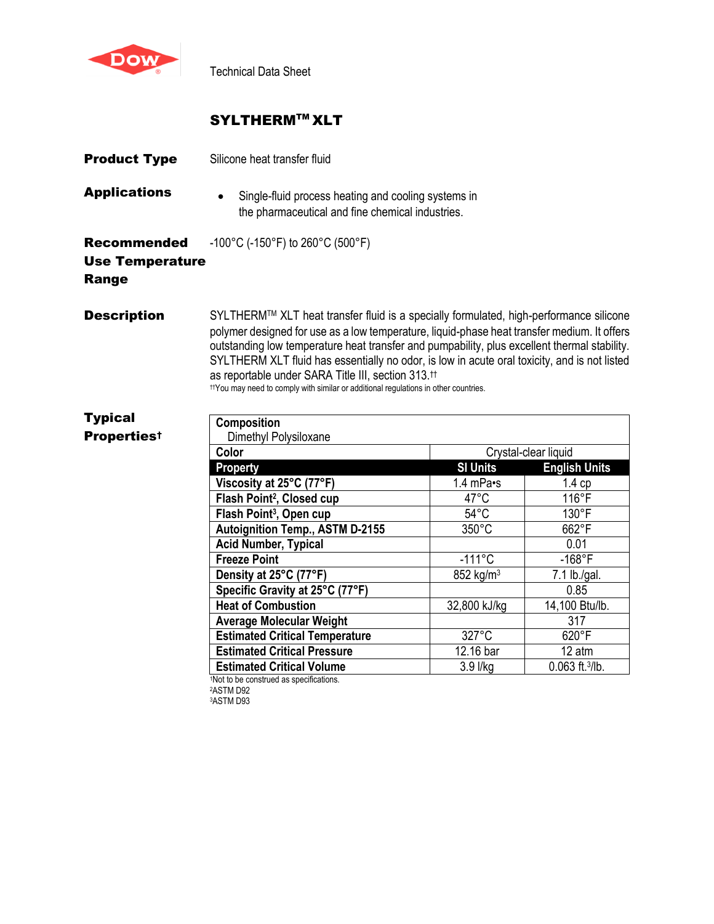

Technical Data Sheet

# SYLTHERM™ XLT

| <b>Product Type</b>                                          | Silicone heat transfer fluid                                                                                                                                                                                                                                                                                                                                                                                                                                                                                                                              |                                           |                      |  |
|--------------------------------------------------------------|-----------------------------------------------------------------------------------------------------------------------------------------------------------------------------------------------------------------------------------------------------------------------------------------------------------------------------------------------------------------------------------------------------------------------------------------------------------------------------------------------------------------------------------------------------------|-------------------------------------------|----------------------|--|
| <b>Applications</b>                                          | Single-fluid process heating and cooling systems in<br>the pharmaceutical and fine chemical industries.                                                                                                                                                                                                                                                                                                                                                                                                                                                   |                                           |                      |  |
| <b>Recommended</b><br><b>Use Temperature</b><br><b>Range</b> | -100°C (-150°F) to 260°C (500°F)                                                                                                                                                                                                                                                                                                                                                                                                                                                                                                                          |                                           |                      |  |
| <b>Description</b>                                           | SYLTHERM™ XLT heat transfer fluid is a specially formulated, high-performance silicone<br>polymer designed for use as a low temperature, liquid-phase heat transfer medium. It offers<br>outstanding low temperature heat transfer and pumpability, plus excellent thermal stability.<br>SYLTHERM XLT fluid has essentially no odor, is low in acute oral toxicity, and is not listed<br>as reportable under SARA Title III, section 313. <sup>11</sup><br><sup>†</sup> You may need to comply with similar or additional regulations in other countries. |                                           |                      |  |
| <b>Typical</b>                                               | <b>Composition</b>                                                                                                                                                                                                                                                                                                                                                                                                                                                                                                                                        |                                           |                      |  |
| <b>Propertiest</b>                                           | Dimethyl Polysiloxane                                                                                                                                                                                                                                                                                                                                                                                                                                                                                                                                     |                                           |                      |  |
|                                                              | Color                                                                                                                                                                                                                                                                                                                                                                                                                                                                                                                                                     | Crystal-clear liquid                      |                      |  |
|                                                              | <b>Property</b>                                                                                                                                                                                                                                                                                                                                                                                                                                                                                                                                           | <b>SI Units</b>                           | <b>English Units</b> |  |
|                                                              | Viscosity at 25°C (77°F)                                                                                                                                                                                                                                                                                                                                                                                                                                                                                                                                  | 1.4 $mPa$ <sup><math>\cdot</math></sup> s | 1.4cp                |  |
|                                                              | Flash Point <sup>2</sup> , Closed cup                                                                                                                                                                                                                                                                                                                                                                                                                                                                                                                     | 47°C                                      | 116°F                |  |
|                                                              | Flash Point <sup>3</sup> , Open cup                                                                                                                                                                                                                                                                                                                                                                                                                                                                                                                       | $54^{\circ}$ C                            | 130°F                |  |
|                                                              | <b>Autoignition Temp., ASTM D-2155</b>                                                                                                                                                                                                                                                                                                                                                                                                                                                                                                                    | $350^{\circ}$ C                           | 662°F                |  |
|                                                              | <b>Acid Number, Typical</b>                                                                                                                                                                                                                                                                                                                                                                                                                                                                                                                               |                                           | 0.01                 |  |
|                                                              | <b>Freeze Point</b>                                                                                                                                                                                                                                                                                                                                                                                                                                                                                                                                       | $-111^{\circ}C$                           | $-168$ °F            |  |
|                                                              | Density at 25°C (77°F)                                                                                                                                                                                                                                                                                                                                                                                                                                                                                                                                    | 852 kg/m <sup>3</sup>                     | 7.1 lb./gal.         |  |
|                                                              | Specific Gravity at 25°C (77°F)                                                                                                                                                                                                                                                                                                                                                                                                                                                                                                                           |                                           | 0.85                 |  |
|                                                              | <b>Heat of Combustion</b>                                                                                                                                                                                                                                                                                                                                                                                                                                                                                                                                 | 32,800 kJ/kg                              | 14,100 Btu/lb.       |  |
|                                                              | <b>Average Molecular Weight</b>                                                                                                                                                                                                                                                                                                                                                                                                                                                                                                                           |                                           | 317                  |  |
|                                                              | <b>Estimated Critical Temperature</b>                                                                                                                                                                                                                                                                                                                                                                                                                                                                                                                     | 327°C                                     | 620°F                |  |
|                                                              | <b>Estimated Critical Pressure</b>                                                                                                                                                                                                                                                                                                                                                                                                                                                                                                                        | 12.16 bar                                 | 12 atm               |  |
|                                                              | <b>Estimated Critical Volume</b>                                                                                                                                                                                                                                                                                                                                                                                                                                                                                                                          | 3.9 l/kg                                  | 0.063 ft.3/lb.       |  |
|                                                              | 1Not to be construed as specifications.                                                                                                                                                                                                                                                                                                                                                                                                                                                                                                                   |                                           |                      |  |

<sup>2</sup>ASTM D92

<sup>3</sup>ASTM D93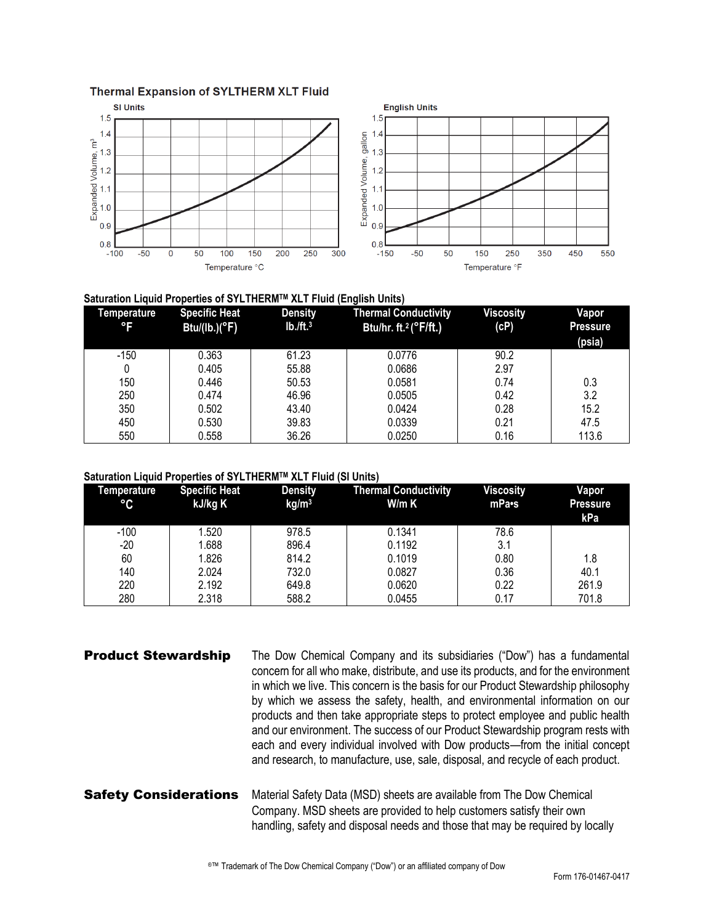### **Thermal Expansion of SYLTHERM XLT Fluid**



## **Saturation Liquid Properties of SYLTHERMTM XLT Fluid (English Units)**

| Temperature<br>°F | <b>Specific Heat</b><br>Btu/(lb.)( $\degree$ F) | <b>Density</b><br>$Ib./ft.^3$ | <b>Thermal Conductivity</b><br>Btu/hr. ft. <sup>2</sup> ( $\degree$ F/ft.) | <b>Viscosity</b><br>(cP) | Vapor<br><b>Pressure</b><br>(psia) |
|-------------------|-------------------------------------------------|-------------------------------|----------------------------------------------------------------------------|--------------------------|------------------------------------|
| $-150$            | 0.363                                           | 61.23                         | 0.0776                                                                     | 90.2                     |                                    |
|                   | 0.405                                           | 55.88                         | 0.0686                                                                     | 2.97                     |                                    |
| 150               | 0.446                                           | 50.53                         | 0.0581                                                                     | 0.74                     | 0.3                                |
| 250               | 0.474                                           | 46.96                         | 0.0505                                                                     | 0.42                     | 3.2                                |
| 350               | 0.502                                           | 43.40                         | 0.0424                                                                     | 0.28                     | 15.2                               |
| 450               | 0.530                                           | 39.83                         | 0.0339                                                                     | 0.21                     | 47.5                               |
| 550               | 0.558                                           | 36.26                         | 0.0250                                                                     | 0.16                     | 113.6                              |

### **Saturation Liquid Properties of SYLTHERMTM XLT Fluid (SI Units)**

| Temperature<br>$\rm ^{\circ}C$ | <b>Specific Heat</b><br>kJ/kg K | <b>Density</b><br>kg/m <sup>3</sup> | <b>Thermal Conductivity</b><br>W/m K | <b>Viscosity</b><br>mPa•s | Vapor<br><b>Pressure</b><br>kPa |
|--------------------------------|---------------------------------|-------------------------------------|--------------------------------------|---------------------------|---------------------------------|
| $-100$                         | 1.520                           | 978.5                               | 0.1341                               | 78.6                      |                                 |
| $-20$                          | .688                            | 896.4                               | 0.1192                               | 3.1                       |                                 |
| 60                             | 1.826                           | 814.2                               | 0.1019                               | 0.80                      | 1.8                             |
| 140                            | 2.024                           | 732.0                               | 0.0827                               | 0.36                      | 40.1                            |
| 220                            | 2.192                           | 649.8                               | 0.0620                               | 0.22                      | 261.9                           |
| 280                            | 2.318                           | 588.2                               | 0.0455                               | 0.17                      | 701.8                           |

**Product Stewardship** The Dow Chemical Company and its subsidiaries ("Dow") has a fundamental concern for all who make, distribute, and use its products, and for the environment in which we live. This concern is the basis for our Product Stewardship philosophy by which we assess the safety, health, and environmental information on our products and then take appropriate steps to protect employee and public health and our environment. The success of our Product Stewardship program rests with each and every individual involved with Dow products—from the initial concept and research, to manufacture, use, sale, disposal, and recycle of each product.

Safety Considerations Material Safety Data (MSD) sheets are available from The Dow Chemical Company. MSD sheets are provided to help customers satisfy their own handling, safety and disposal needs and those that may be required by locally